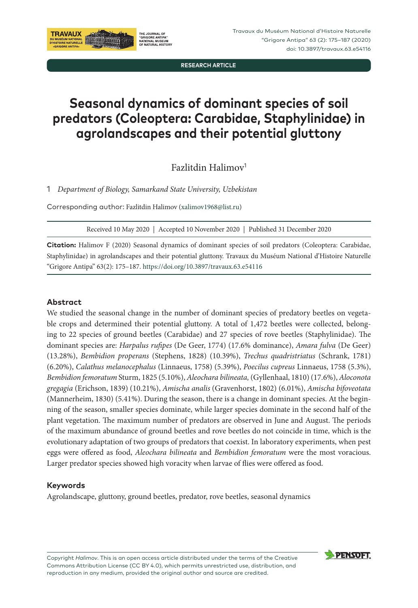

**RESEARCH ARTICLE**

# **Seasonal dynamics of dominant species of soil predators (Coleoptera: Carabidae, Staphylinidae) in agrolandscapes and their potential gluttony**

Fazlitdin Halimov<sup>1</sup>

1 *Department of Biology, Samarkand State University, Uzbekistan*

Corresponding author: Fazlitdin Halimov ([xalimov1968@list.ru\)](mailto:xalimov1968@list.ru)

Received 10 May 2020 | Accepted 10 November 2020 | Published 31 December 2020

**Citation:** Halimov F (2020) Seasonal dynamics of dominant species of soil predators (Coleoptera: Carabidae, Staphylinidae) in agrolandscapes and their potential gluttony. Travaux du Muséum National d'Histoire Naturelle "Grigore Antipa" 63(2): 175–187. <https://doi.org/10.3897/travaux.63.e54116>

### **Abstract**

We studied the seasonal change in the number of dominant species of predatory beetles on vegetable crops and determined their potential gluttony. A total of 1,472 beetles were collected, belonging to 22 species of ground beetles (Carabidae) and 27 species of rove beetles (Staphylinidae). The dominant species are: *Harpalus rufipes* (De Geer, 1774) (17.6% dominance), *Amara fulva* (De Geer) (13.28%), *Bembidion properans* (Stephens, 1828) (10.39%), *Trechus quadristriatus* (Schrank, 1781) (6.20%), *Calathus melanocephalus* (Linnaeus, 1758) (5.39%), *Poecilus cupreus* Linnaeus, 1758 (5.3%), *Bembidion femoratum* Sturm, 1825 (5.10%), *Aleochara bilineata,* (Gyllenhaal, 1810) (17.6%), *Aloconota gregagia* (Erichson, 1839) (10.21%), *Amischa analis* (Gravenhorst, 1802) (6.01%), *Amischa bifoveotata* (Mannerheim, 1830) (5.41%). During the season, there is a change in dominant species. At the beginning of the season, smaller species dominate, while larger species dominate in the second half of the plant vegetation. The maximum number of predators are observed in June and August. The periods of the maximum abundance of ground beetles and rove beetles do not coincide in time, which is the evolutionary adaptation of two groups of predators that coexist. In laboratory experiments, when pest eggs were offered as food, *Aleochara bilineata* and *Bembidion femoratum* were the most voracious. Larger predator species showed high voracity when larvae of flies were offered as food.

#### **Keywords**

Agrolandscape, gluttony, ground beetles, predator, rove beetles, seasonal dynamics



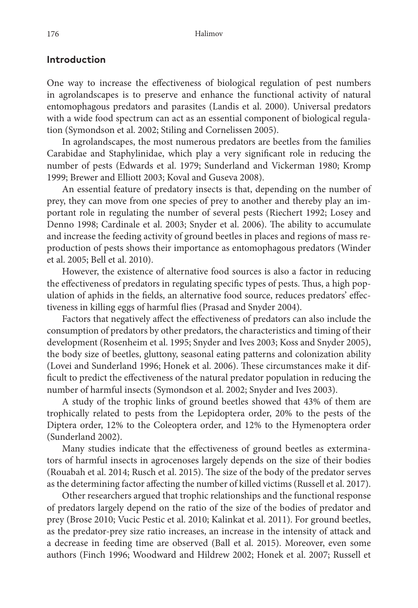# **Introduction**

One way to increase the effectiveness of biological regulation of pest numbers in agrolandscapes is to preserve and enhance the functional activity of natural entomophagous predators and parasites (Landis et al. 2000). Universal predators with a wide food spectrum can act as an essential component of biological regulation (Symondson et al. 2002; Stiling and Cornelissen 2005).

In agrolandscapes, the most numerous predators are beetles from the families Carabidae and Staphylinidae, which play a very significant role in reducing the number of pests (Edwards et al. 1979; Sunderland and Vickerman 1980; Kromp 1999; Brewer and Elliott 2003; Koval and Guseva 2008).

An essential feature of predatory insects is that, depending on the number of prey, they can move from one species of prey to another and thereby play an important role in regulating the number of several pests (Riechert 1992; Losey and Denno 1998; Cardinale et al. 2003; Snyder et al. 2006). The ability to accumulate and increase the feeding activity of ground beetles in places and regions of mass reproduction of pests shows their importance as entomophagous predators (Winder et al. 2005; Bell et al. 2010).

However, the existence of alternative food sources is also a factor in reducing the effectiveness of predators in regulating specific types of pests. Thus, a high population of aphids in the fields, an alternative food source, reduces predators' effectiveness in killing eggs of harmful flies (Prasad and Snyder 2004).

Factors that negatively affect the effectiveness of predators can also include the consumption of predators by other predators, the characteristics and timing of their development (Rosenheim et al. 1995; Snyder and Ives 2003; Koss and Snyder 2005), the body size of beetles, gluttony, seasonal eating patterns and colonization ability (Lovei and Sunderland 1996; Honek et al. 2006). These circumstances make it difficult to predict the effectiveness of the natural predator population in reducing the number of harmful insects (Symondson et al. 2002; Snyder and Ives 2003).

A study of the trophic links of ground beetles showed that 43% of them are trophically related to pests from the Lepidoptera order, 20% to the pests of the Diptera order, 12% to the Coleoptera order, and 12% to the Hymenoptera order (Sunderland 2002).

Many studies indicate that the effectiveness of ground beetles as exterminators of harmful insects in agrocenoses largely depends on the size of their bodies (Rouabah et al. 2014; Rusch et al. 2015). The size of the body of the predator serves as the determining factor affecting the number of killed victims (Russell et al. 2017).

Other researchers argued that trophic relationships and the functional response of predators largely depend on the ratio of the size of the bodies of predator and prey (Brose 2010; Vucic Pestic et al. 2010; Kalinkat et al. 2011). For ground beetles, as the predator-prey size ratio increases, an increase in the intensity of attack and a decrease in feeding time are observed (Ball et al. 2015). Moreover, even some authors (Finch 1996; Woodward and Hildrew 2002; Honek et al. 2007; Russell et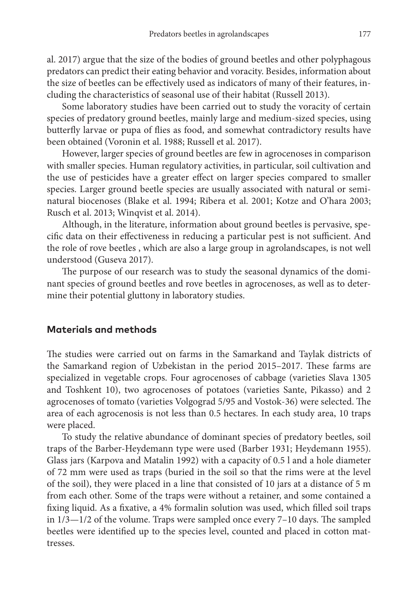al. 2017) argue that the size of the bodies of ground beetles and other polyphagous predators can predict their eating behavior and voracity. Besides, information about the size of beetles can be effectively used as indicators of many of their features, including the characteristics of seasonal use of their habitat (Russell 2013).

Some laboratory studies have been carried out to study the voracity of certain species of predatory ground beetles, mainly large and medium-sized species, using butterfly larvae or pupa of flies as food, and somewhat contradictory results have been obtained (Voronin et al. 1988; Russell et al. 2017).

However, larger species of ground beetles are few in agrocenoses in comparison with smaller species. Human regulatory activities, in particular, soil cultivation and the use of pesticides have a greater effect on larger species compared to smaller species. Larger ground beetle species are usually associated with natural or seminatural biocenoses (Blake et al. 1994; Ribera et al. 2001; Kotze and O'hara 2003; Rusch et al. 2013; Winqvist et al. 2014).

Although, in the literature, information about ground beetles is pervasive, specific data on their effectiveness in reducing a particular pest is not sufficient. And the role of rove beetles , which are also a large group in agrolandscapes, is not well understood (Guseva 2017).

The purpose of our research was to study the seasonal dynamics of the dominant species of ground beetles and rove beetles in agrocenoses, as well as to determine their potential gluttony in laboratory studies.

# **Materials and methods**

The studies were carried out on farms in the Samarkand and Taylak districts of the Samarkand region of Uzbekistan in the period 2015–2017. These farms are specialized in vegetable crops. Four agrocenoses of cabbage (varieties Slava 1305 and Toshkent 10), two agrocenoses of potatoes (varieties Sante, Pikasso) and 2 agrocenoses of tomato (varieties Volgograd 5/95 and Vostok-36) were selected. The area of each agrocenosis is not less than 0.5 hectares. In each study area, 10 traps were placed.

To study the relative abundance of dominant species of predatory beetles, soil traps of the Barber-Heydemann type were used (Barber 1931; Heydemann 1955). Glass jars (Karpova and Matalin 1992) with a capacity of 0.5 l and a hole diameter of 72 mm were used as traps (buried in the soil so that the rims were at the level of the soil), they were placed in a line that consisted of 10 jars at a distance of 5 m from each other. Some of the traps were without a retainer, and some contained a fixing liquid. As a fixative, a 4% formalin solution was used, which filled soil traps in 1/3—1/2 of the volume. Traps were sampled once every 7–10 days. The sampled beetles were identified up to the species level, counted and placed in cotton mattresses.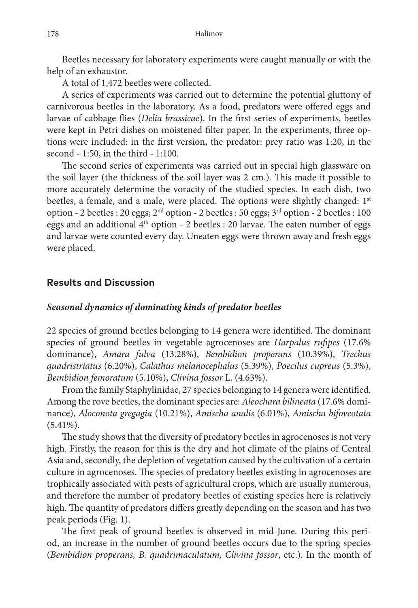Beetles necessary for laboratory experiments were caught manually or with the help of an exhaustor.

A total of 1,472 beetles were collected.

A series of experiments was carried out to determine the potential gluttony of carnivorous beetles in the laboratory. As a food, predators were offered eggs and larvae of cabbage flies (*Delia brassicae*). In the first series of experiments, beetles were kept in Petri dishes on moistened filter paper. In the experiments, three options were included: in the first version, the predator: prey ratio was 1:20, in the second - 1:50, in the third - 1:100.

The second series of experiments was carried out in special high glassware on the soil layer (the thickness of the soil layer was 2 cm.). This made it possible to more accurately determine the voracity of the studied species. In each dish, two beetles, a female, and a male, were placed. The options were slightly changed:  $1<sup>st</sup>$ option - 2 beetles : 20 eggs;  $2<sup>nd</sup>$  option - 2 beetles : 50 eggs;  $3<sup>rd</sup>$  option - 2 beetles : 100 eggs and an additional 4th option - 2 beetles : 20 larvae. The eaten number of eggs and larvae were counted every day. Uneaten eggs were thrown away and fresh eggs were placed.

# **Results and Discussion**

## *Seasonal dynamics of dominating kinds of predator beetles*

22 species of ground beetles belonging to 14 genera were identified. The dominant species of ground beetles in vegetable agrocenoses are *Harpalus rufipes* (17.6% dominance), *Amara fulva* (13.28%), *Bembidion properans* (10.39%), *Trechus quadristriatus* (6.20%), *Calathus melanocephalus* (5.39%), *Poecilus cupreus* (5.3%), *Bembidion femoratum* (5.10%), *Clivina fossor* L. (4.63%).

From the family Staphylinidae, 27 species belonging to 14 genera were identified. Among the rove beetles, the dominant species are: *Aleochara bilineata* (17.6% dominance), *Aloconota gregagia* (10.21%), *Amischa analis* (6.01%), *Amischa bifoveotata*  $(5.41\%).$ 

The study shows that the diversity of predatory beetles in agrocenoses is not very high. Firstly, the reason for this is the dry and hot climate of the plains of Central Asia and, secondly, the depletion of vegetation caused by the cultivation of a certain culture in agrocenoses. The species of predatory beetles existing in agrocenoses are trophically associated with pests of agricultural crops, which are usually numerous, and therefore the number of predatory beetles of existing species here is relatively high. The quantity of predators differs greatly depending on the season and has two peak periods (Fig. 1).

The first peak of ground beetles is observed in mid-June. During this period, an increase in the number of ground beetles occurs due to the spring species (*Bembidion properans, B. quadrimaculatum, Clivina fossor*, etc.). In the month of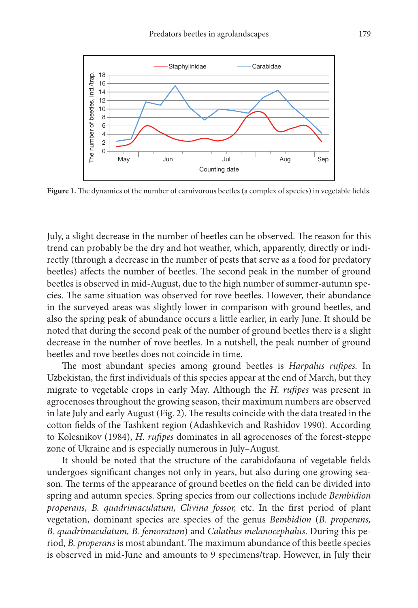

Figure 1. The dynamics of the number of carnivorous beetles (a complex of species) in vegetable fields.

July, a slight decrease in the number of beetles can be observed. The reason for this trend can probably be the dry and hot weather, which, apparently, directly or indirectly (through a decrease in the number of pests that serve as a food for predatory beetles) affects the number of beetles. The second peak in the number of ground beetles is observed in mid-August, due to the high number of summer-autumn species. The same situation was observed for rove beetles. However, their abundance in the surveyed areas was slightly lower in comparison with ground beetles, and also the spring peak of abundance occurs a little earlier, in early June. It should be noted that during the second peak of the number of ground beetles there is a slight decrease in the number of rove beetles. In a nutshell, the peak number of ground beetles and rove beetles does not coincide in time.

The most abundant species among ground beetles is *Harpalus rufipes.* In Uzbekistan, the first individuals of this species appear at the end of March, but they migrate to vegetable crops in early May. Although the *H. rufipes* was present in agrocenoses throughout the growing season, their maximum numbers are observed in late July and early August (Fig. 2). The results coincide with the data treated in the cotton fields of the Tashkent region (Adashkevich and Rashidov 1990). According to Kolesnikov (1984), *H. rufipes* dominates in all agrocenoses of the forest-steppe zone of Ukraine and is especially numerous in July–August.

It should be noted that the structure of the carabidofauna of vegetable fields undergoes significant changes not only in years, but also during one growing season. The terms of the appearance of ground beetles on the field can be divided into spring and autumn species. Spring species from our collections include *Bembidion properans, B. quadrimaculatum, Clivina fossor,* etc. In the first period of plant vegetation, dominant species are species of the genus *Bembidion* (*B. properans, B. quadrimaculatum, B. femoratum*) and *Calathus melanocephalus*. During this period, *B. properans* is most abundant. The maximum abundance of this beetle species is observed in mid-June and amounts to 9 specimens/trap. However, in July their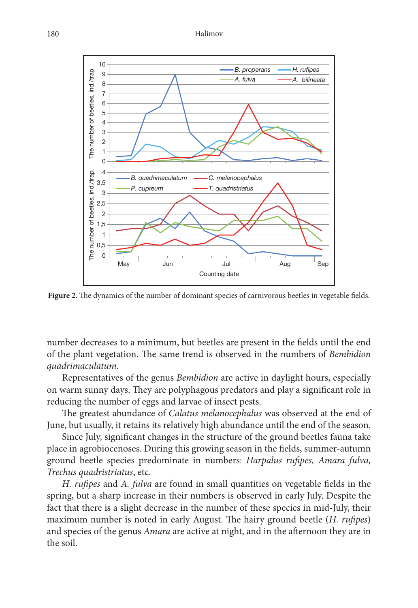

Figure 2. The dynamics of the number of dominant species of carnivorous beetles in vegetable fields.

number decreases to a minimum, but beetles are present in the fields until the end of the plant vegetation. The same trend is observed in the numbers of *Bembidion quadrimaculatum*.

Representatives of the genus *Bembidion* are active in daylight hours, especially on warm sunny days. They are polyphagous predators and play a significant role in reducing the number of eggs and larvae of insect pests.

The greatest abundance of *Calatus melanocephalus* was observed at the end of June, but usually, it retains its relatively high abundance until the end of the season.

Since July, significant changes in the structure of the ground beetles fauna take place in agrobiocenoses. During this growing season in the fields, summer-autumn ground beetle species predominate in numbers: *Harpalus rufipes, Amara fulva, Trechus quadristriatus*, etc.

*H. rufipes* and *A. fulva* are found in small quantities on vegetable fields in the spring, but a sharp increase in their numbers is observed in early July. Despite the fact that there is a slight decrease in the number of these species in mid-July, their maximum number is noted in early August. The hairy ground beetle (*H. rufipes*) and species of the genus *Amara* are active at night, and in the afternoon they are in the soil.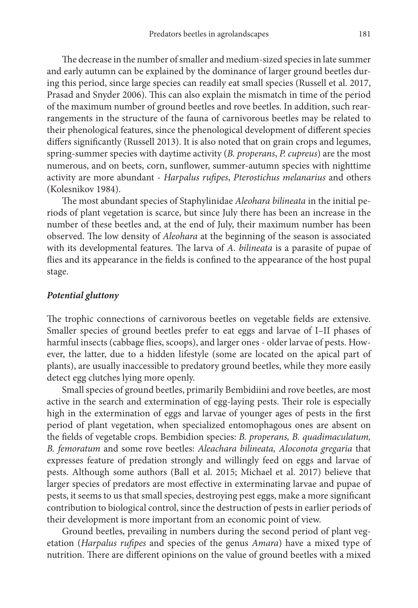The decrease in the number of smaller and medium-sized species in late summer and early autumn can be explained by the dominance of larger ground beetles during this period, since large species can readily eat small species (Russell et al. 2017, Prasad and Snyder 2006). This can also explain the mismatch in time of the period of the maximum number of ground beetles and rove beetles. In addition, such rearrangements in the structure of the fauna of carnivorous beetles may be related to their phenological features, since the phenological development of different species differs significantly (Russell 2013). It is also noted that on grain crops and legumes, spring-summer species with daytime activity (*B. properans*, *P. cupreus*) are the most numerous, and on beets, corn, sunflower, summer-autumn species with nighttime activity are more abundant - *Harpalus rufipes*, *Pterostichus melanarius* and others (Kolesnikov 1984).

The most abundant species of Staphylinidae *Aleohara bilineata* in the initial periods of plant vegetation is scarce, but since July there has been an increase in the number of these beetles and, at the end of July, their maximum number has been observed. The low density of *Aleohara* at the beginning of the season is associated with its developmental features. The larva of *A. bilineata* is a parasite of pupae of flies and its appearance in the fields is confined to the appearance of the host pupal stage.

## *Potential gluttony*

The trophic connections of carnivorous beetles on vegetable fields are extensive. Smaller species of ground beetles prefer to eat eggs and larvae of I–II phases of harmful insects (cabbage flies, scoops), and larger ones - older larvae of pests. However, the latter, due to a hidden lifestyle (some are located on the apical part of plants), are usually inaccessible to predatory ground beetles, while they more easily detect egg clutches lying more openly.

Small species of ground beetles, primarily Bembidiini and rove beetles, are most active in the search and extermination of egg-laying pests. Their role is especially high in the extermination of eggs and larvae of younger ages of pests in the first period of plant vegetation, when specialized entomophagous ones are absent on the fields of vegetable crops. Bembidion species: *B. properans, B. quadimaculatum, B. femoratum* and some rove beetles: *Aleachara bilineata, Aloconota gregaria* that expresses feature of predation strongly and willingly feed on eggs and larvae of pests. Although some authors (Ball et al. 2015; Michael et al. 2017) believe that larger species of predators are most effective in exterminating larvae and pupae of pests, it seems to us that small species, destroying pest eggs, make a more significant contribution to biological control, since the destruction of pests in earlier periods of their development is more important from an economic point of view.

Ground beetles, prevailing in numbers during the second period of plant vegetation (*Harpalus rufipes* and species of the genus *Amara*) have a mixed type of nutrition. There are different opinions on the value of ground beetles with a mixed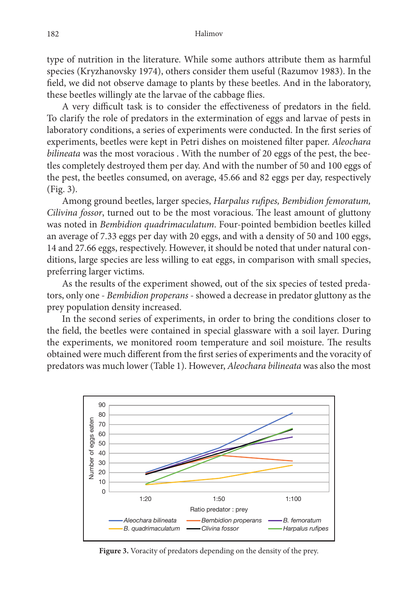type of nutrition in the literature. While some authors attribute them as harmful species (Kryzhanovsky 1974), others consider them useful (Razumov 1983). In the field, we did not observe damage to plants by these beetles. And in the laboratory, these beetles willingly ate the larvae of the cabbage flies.

A very difficult task is to consider the effectiveness of predators in the field. To clarify the role of predators in the extermination of eggs and larvae of pests in laboratory conditions, a series of experiments were conducted. In the first series of experiments, beetles were kept in Petri dishes on moistened filter paper. *Aleochara bilineata* was the most voracious . With the number of 20 eggs of the pest, the beetles completely destroyed them per day. And with the number of 50 and 100 eggs of the pest, the beetles consumed, on average, 45.66 and 82 eggs per day, respectively (Fig. 3).

Among ground beetles, larger species, *Harpalus rufipes, Bembidion femoratum, Cilivina fossor*, turned out to be the most voracious. The least amount of gluttony was noted in *Bembidion quadrimaculatum*. Four-pointed bembidion beetles killed an average of 7.33 eggs per day with 20 eggs, and with a density of 50 and 100 eggs, 14 and 27.66 eggs, respectively. However, it should be noted that under natural conditions, large species are less willing to eat eggs, in comparison with small species, preferring larger victims.

As the results of the experiment showed, out of the six species of tested predators, only one - *Bembidion properans* - showed a decrease in predator gluttony as the prey population density increased.

In the second series of experiments, in order to bring the conditions closer to the field, the beetles were contained in special glassware with a soil layer. During the experiments, we monitored room temperature and soil moisture. The results obtained were much different from the first series of experiments and the voracity of predators was much lower (Table 1). However, *Aleochara bilineata* was also the most



**Figure 3.** Voracity of predators depending on the density of the prey.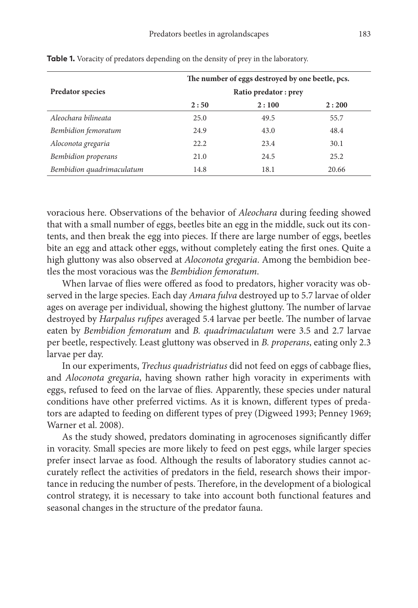| <b>Predator species</b>    | The number of eggs destroyed by one beetle, pcs.<br>Ratio predator: prey |      |       |
|----------------------------|--------------------------------------------------------------------------|------|-------|
|                            |                                                                          |      |       |
|                            | Aleochara bilineata                                                      | 25.0 | 49.5  |
| Bembidion femoratum        | 24.9                                                                     | 43.0 | 48.4  |
| Aloconota gregaria         | 22.2                                                                     | 23.4 | 30.1  |
| <b>Bembidion properans</b> | 21.0                                                                     | 24.5 | 25.2  |
| Bembidion quadrimaculatum  | 14.8                                                                     | 18.1 | 20.66 |

**Table 1.** Voracity of predators depending on the density of prey in the laboratory.

voracious here. Observations of the behavior of *Aleochara* during feeding showed that with a small number of eggs, beetles bite an egg in the middle, suck out its contents, and then break the egg into pieces. If there are large number of eggs, beetles bite an egg and attack other eggs, without completely eating the first ones. Quite a high gluttony was also observed at *Aloconota gregaria*. Among the bembidion beetles the most voracious was the *Bembidion femoratum*.

When larvae of flies were offered as food to predators, higher voracity was observed in the large species. Each day *Amara fulva* destroyed up to 5.7 larvae of older ages on average per individual, showing the highest gluttony. The number of larvae destroyed by *Harpalus rufipes* averaged 5.4 larvae per beetle. The number of larvae eaten by *Bembidion femoratum* and *B. quadrimaculatum* were 3.5 and 2.7 larvae per beetle, respectively. Least gluttony was observed in *B. properans*, eating only 2.3 larvae per day.

In our experiments, *Trechus quadristriatus* did not feed on eggs of cabbage flies, and *Aloconota gregaria*, having shown rather high voracity in experiments with eggs, refused to feed on the larvae of flies. Apparently, these species under natural conditions have other preferred victims. As it is known, different types of predators are adapted to feeding on different types of prey (Digweed 1993; Penney 1969; Warner et al. 2008).

As the study showed, predators dominating in agrocenoses significantly differ in voracity. Small species are more likely to feed on pest eggs, while larger species prefer insect larvae as food. Although the results of laboratory studies cannot accurately reflect the activities of predators in the field, research shows their importance in reducing the number of pests. Therefore, in the development of a biological control strategy, it is necessary to take into account both functional features and seasonal changes in the structure of the predator fauna.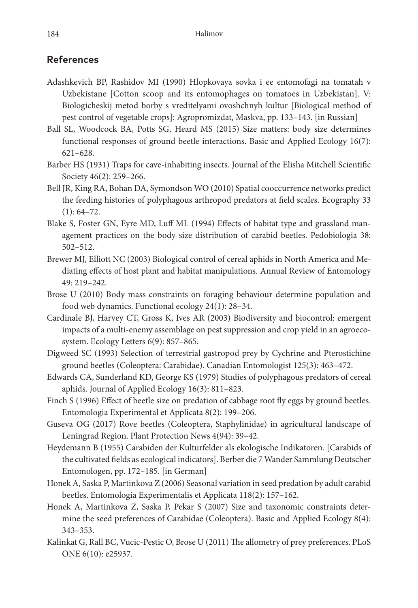# **References**

- Adashkevich BP, Rashidov MI (1990) Hlopkovaya sovka i ee entomofagi na tomatah v Uzbekistane [Cotton scoop and its entomophages on tomatoes in Uzbekistan]. V: Biologicheskij metod borby s vreditelyami ovoshchnyh kultur [Biological method of pest control of vegetable crops]: Agropromizdat, Maskva, pp. 133–143. [in Russian]
- Ball SL, Woodcock BA, Potts SG, Heard MS (2015) Size matters: body size determines functional responses of ground beetle interactions. Basic and Applied Ecology 16(7): 621–628.
- Barber HS (1931) Traps for cave-inhabiting insects. Journal of the Elisha Mitchell Scientific Society 46(2): 259–266.
- Bell JR, King RA, Bohan DA, Symondson WO (2010) Spatial cooccurrence networks predict the feeding histories of polyphagous arthropod predators at field scales. Ecography 33  $(1): 64-72.$
- Blake S, Foster GN, Eyre MD, Luff ML (1994) Effects of habitat type and grassland management practices on the body size distribution of carabid beetles. Pedobiologia 38: 502–512.
- Brewer MJ, Elliott NC (2003) Biological control of cereal aphids in North America and Mediating effects of host plant and habitat manipulations. Annual Review of Entomology 49: 219–242.
- Brose U (2010) Body mass constraints on foraging behaviour determine population and food web dynamics. Functional ecology 24(1): 28–34.
- Cardinale BJ, Harvey CT, Gross K, Ives AR (2003) Biodiversity and biocontrol: emergent impacts of a multi-enemy assemblage on pest suppression and crop yield in an agroecosystem. Ecology Letters 6(9): 857–865.
- Digweed SC (1993) Selection of terrestrial gastropod prey by Cychrine and Pterostichine ground beetles (Coleoptera: Carabidae). Canadian Entomologist 125(3): 463–472.
- Edwards CA, Sunderland KD, George KS (1979) Studies of polyphagous predators of cereal aphids. Journal of Applied Ecology 16(3): 811–823.
- Finch S (1996) Effect of beetle size on predation of cabbage root fly eggs by ground beetles. Entomologia Experimental et Applicata 8(2): 199–206.
- Guseva OG (2017) Rove beetles (Coleoptera, Staphylinidae) in agricultural landscape of Leningrad Region. Plant Protection News 4(94): 39–42.
- Heydemann B (1955) Carabiden der Kulturfelder als ekologische Indikatoren. [Carabids of the cultivated fields as ecological indicators]. Berber die 7 Wander Sammlung Deutscher Entomologen, pp. 172–185. [in German]
- Honek A, Saska P, Martinkova Z (2006) Seasonal variation in seed predation by adult carabid beetles. Entomologia Experimentalis et Applicata 118(2): 157–162.
- Honek A, Martinkova Z, Saska P, Pekar S (2007) Size and taxonomic constraints determine the seed preferences of Carabidae (Coleoptera). Basic and Applied Ecology 8(4): 343–353.
- Kalinkat G, Rall BC, Vucic-Pestic O, Brose U (2011) The allometry of prey preferences. PLoS ONE 6(10): e25937.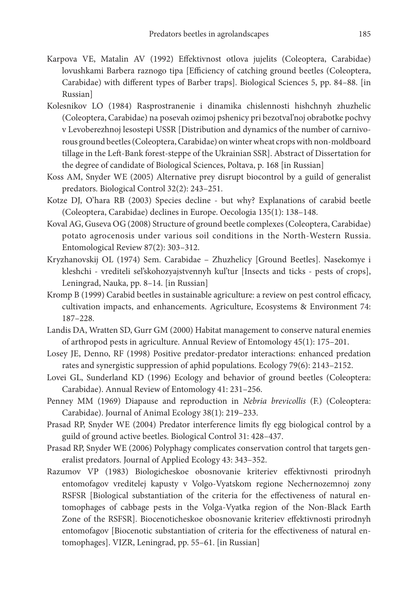- Karpova VE, Matalin AV (1992) Effektivnost otlova jujelits (Coleoptera, Carabidae) lovushkami Barbera raznogo tipa [Efficiency of catching ground beetles (Coleoptera, Carabidae) with different types of Barber traps]. Biological Sciences 5, pp. 84–88. [in Russian]
- Kolesnikov LO (1984) Rasprostranenie i dinamika chislennosti hishchnyh zhuzhelic (Coleoptera, Carabidae) na posevah ozimoj pshenicy pri bezotval'noj obrabotke pochvy v Levoberezhnoj lesostepi USSR [Distribution and dynamics of the number of carnivorous ground beetles (Coleoptera, Carabidae) on winter wheat crops with non-moldboard tillage in the Left-Bank forest-steppe of the Ukrainian SSR]. Abstract of Dissertation for the degree of candidate of Biological Sciences, Poltava, p. 168 [in Russian]
- Koss AM, Snyder WE (2005) Alternative prey disrupt biocontrol by a guild of generalist predators. Biological Control 32(2): 243–251.
- Kotze DJ, O'hara RB (2003) Species decline but why? Explanations of carabid beetle (Coleoptera, Carabidae) declines in Europe. Oecologia 135(1): 138–148.
- Koval AG, Guseva OG (2008) Structure of ground beetle complexes (Coleoptera, Carabidae) potato agrocenosis under various soil conditions in the North-Western Russia. Entomological Review 87(2): 303–312.
- Kryzhanovskij ОL (1974) Sem. Carabidae Zhuzhelicy [Ground Beetles]. Nasekomye i kleshchi - vrediteli sel'skohozyajstvennyh kul'tur [Insects and ticks - pests of crops], Leningrad, Nauka, pp. 8–14. [in Russian]
- Kromp B (1999) Carabid beetles in sustainable agriculture: a review on pest control efficacy, cultivation impacts, and enhancements. Agriculture, Ecosystems & Environment 74: 187–228.
- Landis DA, Wratten SD, Gurr GM (2000) Habitat management to conserve natural enemies of arthropod pests in agriculture. Annual Review of Entomology 45(1): 175–201.
- Losey JE, Denno, RF (1998) Positive predator-predator interactions: enhanced predation rates and synergistic suppression of aphid populations. Ecology 79(6): 2143–2152.
- Lovei GL, Sunderland KD (1996) Ecology and behavior of ground beetles (Coleoptera: Carabidae). Annual Review of Entomology 41: 231–256.
- Penney MM (1969) Diapause and reproduction in *Nebria brevicollis* (F.) (Coleoptera: Carabidae). Journal of Animal Ecology 38(1): 219–233.
- Prasad RP, Snyder WE (2004) Predator interference limits fly egg biological control by a guild of ground active beetles. Biological Control 31: 428–437.
- Prasad RP, Snyder WE (2006) Polyphagy complicates conservation control that targets generalist predators. Journal of Applied Ecology 43: 343–352.
- Razumov VP (1983) Biologicheskoe obosnovanie kriteriev effektivnosti prirodnyh entomofagov vreditelej kapusty v Volgo-Vyatskom regione Nechernozemnoj zony RSFSR [Biological substantiation of the criteria for the effectiveness of natural entomophages of cabbage pests in the Volga-Vyatka region of the Non-Black Earth Zone of the RSFSR]. Biocenoticheskoe obosnovanie kriteriev effektivnosti prirodnyh entomofagov [Biocenotic substantiation of criteria for the effectiveness of natural entomophages]. VIZR, Leningrad, pp. 55–61. [in Russian]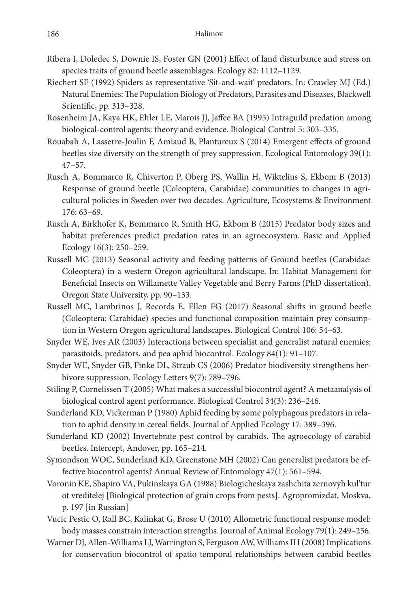- Ribera I, Doledec S, Downie IS, Foster GN (2001) Effect of land disturbance and stress on species traits of ground beetle assemblages. Ecology 82: 1112–1129.
- Riechert SE (1992) Spiders as representative 'Sit-and-wait' predators. In: Crawley MJ (Ed.) Natural Enemies: The Population Biology of Predators, Parasites and Diseases, Blackwell Scientific, pp. 313–328.
- Rosenheim JA, Kaya HK, Ehler LE, Marois JJ, Jaffee BA (1995) Intraguild predation among biological-control agents: theory and evidence. Biological Control 5: 303–335.
- Rouabah A, Lasserre-Joulin F, Amiaud B, Plantureux S (2014) Emergent effects of ground beetles size diversity on the strength of prey suppression. Ecological Entomology 39(1): 47–57.
- Rusch A, Bommarco R, Chiverton P, Oberg PS, Wallin H, Wiktelius S, Ekbom B (2013) Response of ground beetle (Coleoptera, Carabidae) communities to changes in agricultural policies in Sweden over two decades. Agriculture, Ecosystems & Environment 176: 63–69.
- Rusch A, Birkhofer K, Bommarco R, Smith HG, Ekbom B (2015) Predator body sizes and habitat preferences predict predation rates in an agroecosystem. Basic and Applied Ecology 16(3): 250–259.
- Russell MC (2013) Seasonal activity and feeding patterns of Ground beetles (Carabidae: Coleoptera) in a western Oregon agricultural landscape. In: Habitat Management for Beneficial Insects on Willamette Valley Vegetable and Berry Farms (PhD dissertation). Oregon State University, pp. 90–133.
- Russell MC, Lambrinos J, Records E, Ellen FG (2017) Seasonal shifts in ground beetle (Coleoptera: Carabidae) species and functional composition maintain prey consumption in Western Oregon agricultural landscapes. Biological Control 106: 54–63.
- Snyder WE, Ives AR (2003) Interactions between specialist and generalist natural enemies: parasitoids, predators, and pea aphid biocontrol. Ecology 84(1): 91–107.
- Snyder WE, Snyder GB, Finke DL, Straub CS (2006) Predator biodiversity strengthens herbivore suppression. Ecology Letters 9(7): 789–796.
- Stiling P, Cornelissen T (2005) What makes a successful biocontrol agent? A metaanalysis of biological control agent performance. Biological Control 34(3): 236–246.
- Sunderland KD, Vickerman P (1980) Aphid feeding by some polyphagous predators in relation to aphid density in cereal fields. Journal of Applied Ecology 17: 389–396.
- Sunderland KD (2002) Invertebrate pest control by carabids. The agroecology of carabid beetles. Intercept, Andover, pp. 165–214.
- Symondson WOC, Sunderland KD, Greenstone MH (2002) Can generalist predators be effective biocontrol agents? Annual Review of Entomology 47(1): 561–594.
- Voronin KE, Shapiro VA, Pukinskaya GA (1988) Biologicheskaya zashchita zernovyh kul'tur ot vreditelej [Biological protection of grain crops from pests]. Agropromizdat, Moskva, p. 197 [in Russian]
- Vucic Pestic O, Rall BC, Kalinkat G, Brose U (2010) Allometric functional response model: body masses constrain interaction strengths. Journal of Animal Ecology 79(1): 249–256.
- Warner DJ, Allen-Williams LJ, Warrington S, Ferguson AW, Williams IH (2008) Implications for conservation biocontrol of spatio temporal relationships between carabid beetles